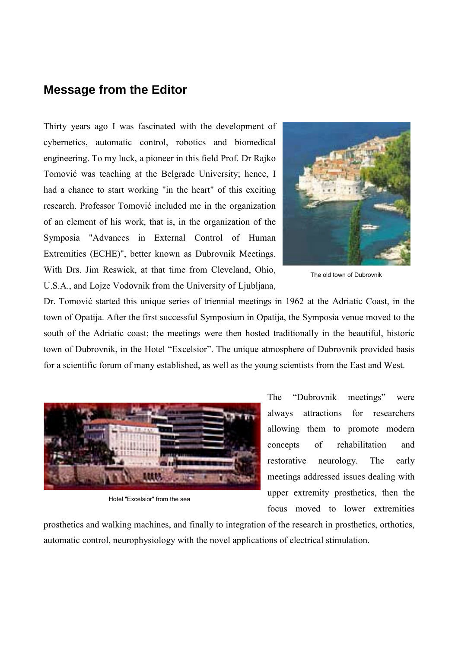## **Message from the Editor**

Thirty years ago I was fascinated with the development of cybernetics, automatic control, robotics and biomedical engineering. To my luck, a pioneer in this field Prof. Dr Rajko Tomović was teaching at the Belgrade University; hence, I had a chance to start working "in the heart" of this exciting research. Professor Tomović included me in the organization of an element of his work, that is, in the organization of the Symposia "Advances in External Control of Human Extremities (ECHE)", better known as Dubrovnik Meetings. With Drs. Jim Reswick, at that time from Cleveland, Ohio, U.S.A., and Lojze Vodovnik from the University of Ljubljana,



The old town of Dubrovnik

Dr. Tomović started this unique series of triennial meetings in 1962 at the Adriatic Coast, in the town of Opatija. After the first successful Symposium in Opatija, the Symposia venue moved to the south of the Adriatic coast; the meetings were then hosted traditionally in the beautiful, historic town of Dubrovnik, in the Hotel "Excelsior". The unique atmosphere of Dubrovnik provided basis for a scientific forum of many established, as well as the young scientists from the East and West.



Hotel "Excelsior" from the sea

The "Dubrovnik meetings" were always attractions for researchers allowing them to promote modern concepts of rehabilitation and restorative neurology. The early meetings addressed issues dealing with upper extremity prosthetics, then the focus moved to lower extremities

prosthetics and walking machines, and finally to integration of the research in prosthetics, orthotics, automatic control, neurophysiology with the novel applications of electrical stimulation.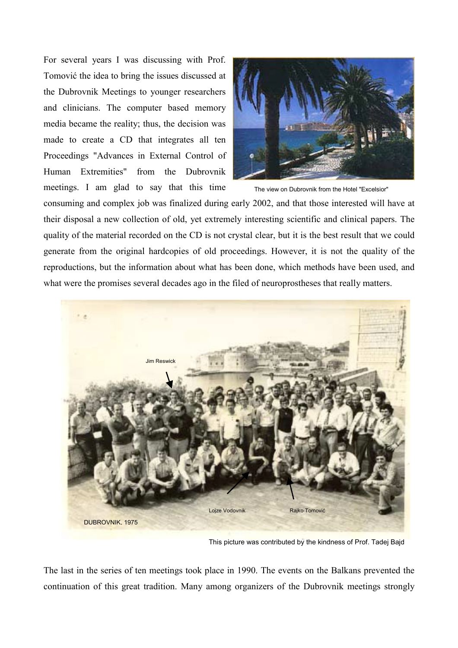For several years I was discussing with Prof. Tomović the idea to bring the issues discussed at the Dubrovnik Meetings to younger researchers and clinicians. The computer based memory media became the reality; thus, the decision was made to create a CD that integrates all ten Proceedings "Advances in External Control of Human Extremities" from the Dubrovnik meetings. I am glad to say that this time



The view on Dubrovnik from the Hotel "Excelsior"

consuming and complex job was finalized during early 2002, and that those interested will have at their disposal a new collection of old, yet extremely interesting scientific and clinical papers. The quality of the material recorded on the CD is not crystal clear, but it is the best result that we could generate from the original hardcopies of old proceedings. However, it is not the quality of the reproductions, but the information about what has been done, which methods have been used, and what were the promises several decades ago in the filed of neuroprostheses that really matters.



This picture was contributed by the kindness of Prof. Tadej Bajd

The last in the series of ten meetings took place in 1990. The events on the Balkans prevented the continuation of this great tradition. Many among organizers of the Dubrovnik meetings strongly